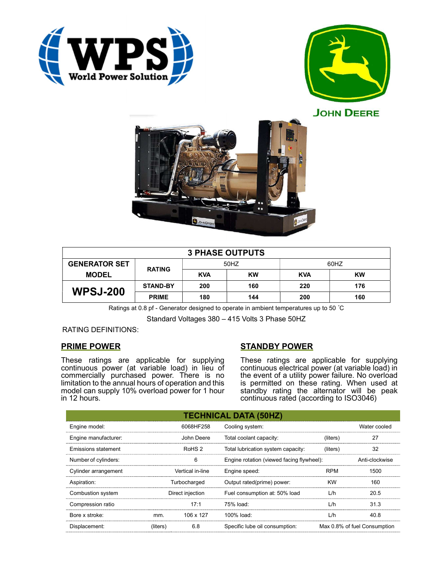





| <b>3 PHASE OUTPUTS</b> |                 |            |           |            |     |  |  |
|------------------------|-----------------|------------|-----------|------------|-----|--|--|
| <b>GENERATOR SET</b>   | <b>RATING</b>   | 50HZ       |           | 60HZ       |     |  |  |
| <b>MODEL</b>           |                 | <b>KVA</b> | <b>KW</b> | <b>KVA</b> | KW  |  |  |
| <b>WPSJ-200</b>        | <b>STAND-BY</b> | 200        | 160       | 220        | 176 |  |  |
|                        | <b>PRIME</b>    | 180        | 144       | 200        | 160 |  |  |

Ratings at 0.8 pf - Generator designed to operate in ambient temperatures up to 50 °C

Standard Voltages 380 – 415 Volts 3 Phase 50HZ

## RATING DEFINITIONS:

## PRIME POWER

These ratings are applicable for supplying continuous power (at variable load) in lieu of commercially purchased power. There is no limitation to the annual hours of operation and this model can supply 10% overload power for 1 hour in 12 hours.

# STANDBY POWER

These ratings are applicable for supplying continuous electrical power (at variable load) in the event of a utility power failure. No overload is permitted on these rating. When used at standby rating the alternator will be peak continuous rated (according to ISO3046)

| <b>TECHNICAL DATA (50HZ)</b> |                   |            |                                           |            |                              |  |
|------------------------------|-------------------|------------|-------------------------------------------|------------|------------------------------|--|
| Engine model:                |                   | 6068HF258  | Cooling system:                           |            | Water cooled                 |  |
| Engine manufacturer:         |                   | John Deere | Total coolant capacity:                   | (liters)   | 27                           |  |
| Emissions statement          | RoHS <sub>2</sub> |            | Total lubrication system capacity:        | (liters)   | 32                           |  |
| Number of cylinders:         | 6                 |            | Engine rotation (viewed facing flywheel): |            | Anti-clockwise               |  |
| Cylinder arrangement         | Vertical in-line  |            | Engine speed:                             | <b>RPM</b> | 1500                         |  |
| Aspiration:                  | Turbocharged      |            | Output rated(prime) power:                | <b>KW</b>  | 160                          |  |
| Combustion system            | Direct injection  |            | Fuel consumption at: 50% load             | L/h        | 20.5                         |  |
| Compression ratio            |                   | 17:1       | 75% load:                                 | L/h        | 31.3                         |  |
| Bore x stroke:               | mm.               | 106 x 127  | 100% load:                                | L/h        | 40.8                         |  |
| Displacement:                | (liters)          | 6.8        | Specific lube oil consumption:            |            | Max 0.8% of fuel Consumption |  |